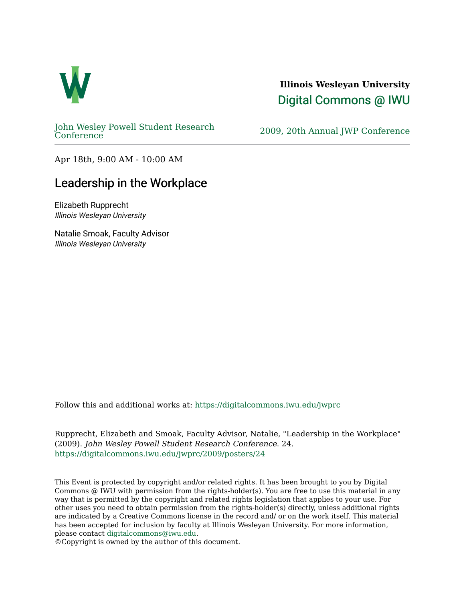

## **Illinois Wesleyan University**  [Digital Commons @ IWU](https://digitalcommons.iwu.edu/)

[John Wesley Powell Student Research](https://digitalcommons.iwu.edu/jwprc) 

2009, 20th Annual JWP [Conference](https://digitalcommons.iwu.edu/jwprc)

Apr 18th, 9:00 AM - 10:00 AM

## Leadership in the Workplace

Elizabeth Rupprecht Illinois Wesleyan University

Natalie Smoak, Faculty Advisor Illinois Wesleyan University

Follow this and additional works at: [https://digitalcommons.iwu.edu/jwprc](https://digitalcommons.iwu.edu/jwprc?utm_source=digitalcommons.iwu.edu%2Fjwprc%2F2009%2Fposters%2F24&utm_medium=PDF&utm_campaign=PDFCoverPages) 

Rupprecht, Elizabeth and Smoak, Faculty Advisor, Natalie, "Leadership in the Workplace" (2009). John Wesley Powell Student Research Conference. 24. [https://digitalcommons.iwu.edu/jwprc/2009/posters/24](https://digitalcommons.iwu.edu/jwprc/2009/posters/24?utm_source=digitalcommons.iwu.edu%2Fjwprc%2F2009%2Fposters%2F24&utm_medium=PDF&utm_campaign=PDFCoverPages)

This Event is protected by copyright and/or related rights. It has been brought to you by Digital Commons @ IWU with permission from the rights-holder(s). You are free to use this material in any way that is permitted by the copyright and related rights legislation that applies to your use. For other uses you need to obtain permission from the rights-holder(s) directly, unless additional rights are indicated by a Creative Commons license in the record and/ or on the work itself. This material has been accepted for inclusion by faculty at Illinois Wesleyan University. For more information, please contact [digitalcommons@iwu.edu.](mailto:digitalcommons@iwu.edu)

©Copyright is owned by the author of this document.